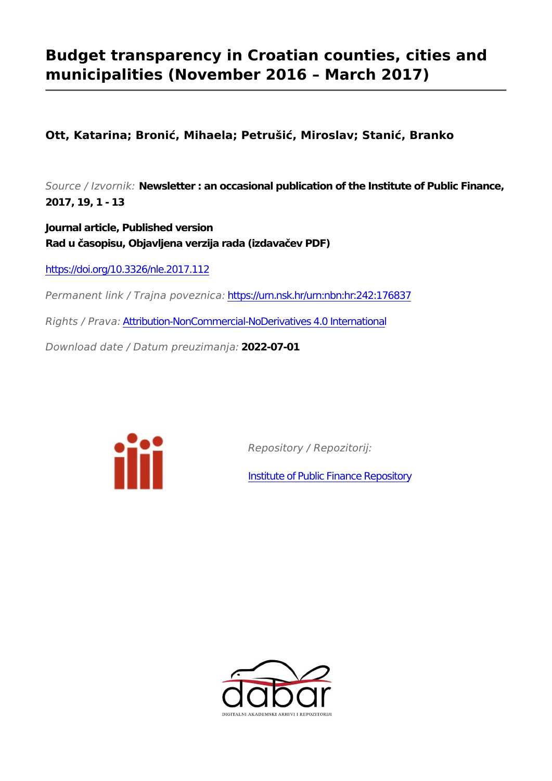# **Budget transparency in Croatian counties, cities and municipalities (November 2016 – March 2017)**

**Ott, Katarina; Bronić, Mihaela; Petrušić, Miroslav; Stanić, Branko**

*Source / Izvornik:* **Newsletter : an occasional publication of the Institute of Public Finance, 2017, 19, 1 - 13**

**Journal article, Published version Rad u časopisu, Objavljena verzija rada (izdavačev PDF)**

<https://doi.org/10.3326/nle.2017.112>

*Permanent link / Trajna poveznica:* <https://urn.nsk.hr/urn:nbn:hr:242:176837>

*Rights / Prava:* [Attribution-NonCommercial-NoDerivatives 4.0 International](http://creativecommons.org/licenses/by-nc-nd/4.0/)

*Download date / Datum preuzimanja:* **2022-07-01**



*Repository / Repozitorij:*

[Institute of Public Finance Repository](https://repozitorij.ijf.hr)

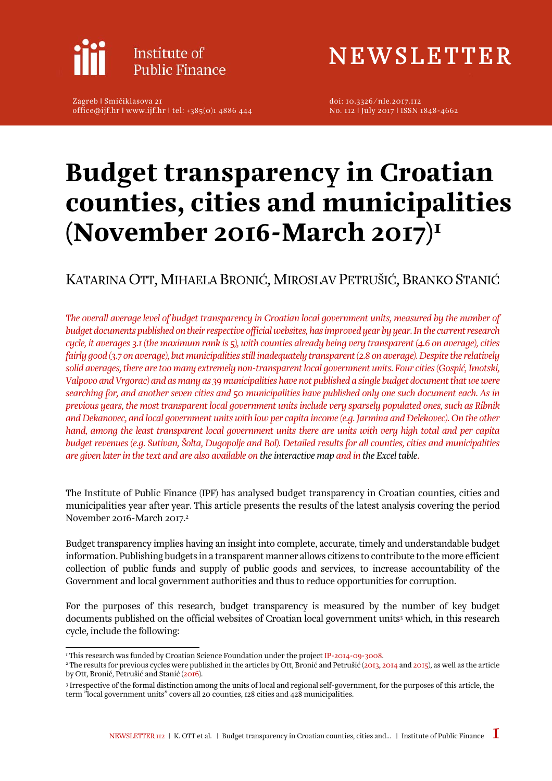

Zagreb l Smičiklasova 21 office@ijf.hr l www.ijf.hr l tel: +385(0)1 4886 444 NEWSLETTER

[doi: 10.3326/nle.2017.112](http://dx.doi.org/10.3326/nle.2017.112)  No. 112 l July 2017 l ISSN 1848-4662

# Budget transparency in Croatian counties, cities and municipalities (November 2016-March 2017)1

## KATARINA OTT, MIHAELA BRONIĆ, MIROSLAV PETRUŠIĆ, BRANKO STANIĆ

*The overall average level of budget transparency in Croatian local government units, measured by the number of budget documents published on their respective official websites, has improved year by year. In the current research cycle, it averages 3.1 (the maximum rank is 5), with counties already being very transparent (4.6 on average), cities fairly good (3.7 on average), but municipalities still inadequately transparent (2.8 on average). Despite the relatively solid averages, there are too many extremely non-transparent local government units. Four cities (Gospić, Imotski, Valpovo and Vrgorac) and as many as 39 municipalities have not published a single budget document that we were searching for, and another seven cities and 50 municipalities have published only one such document each. As in previous years, the most transparent local government units include very sparsely populated ones, such as Ribnik and Dekanovec, and local government units with low per capita income (e.g. Jarmina and Đelekovec). On the other hand, among the least transparent local government units there are units with very high total and per capita budget revenues (e.g. Sutivan, Šolta, Dugopolje and Bol). Detailed results for all counties, cities and municipalities are given later in the text and are also available on [the interactive map](http://www.ijf.hr/transparency) and in [the Excel table](http://www.ijf.hr/download_file.php?file=nle-112.xlsx).*

The Institute of Public Finance (IPF) has analysed budget transparency in Croatian counties, cities and municipalities year after year. This article presents the results of the latest analysis covering the period November 2016-March 2017.2

Budget transparency implies having an insight into complete, accurate, timely and understandable budget information. Publishing budgets in a transparent manner allows citizens to contribute to the more efficient collection of public funds and supply of public goods and services, to increase accountability of the Government and local government authorities and thus to reduce opportunities for corruption.

For the purposes of this research, budget transparency is measured by the number of key budget documents published on the official websites of Croatian local government units<sup>3</sup> which, in this research cycle, include the following:

 $\overline{a}$ 

<sup>&</sup>lt;sup>1</sup> This research was funded by Croatian Science Foundation under the project IP-2014-09-3008.

<sup>&#</sup>x27; This research was funded by Croatian Science Foundation under the project [IP-2014-09-3008](http://www.ijf.hr/eng/research/croatian-science-foundation-projects/1053/olbi/1064/).<br>' The results for previous cycles were published in the articles by Ott, Bronić and Petrušić ([2013,](http://www.ijf.hr/upload/files/file/ENG/newsletter/81.pdf) [2014](http://www.ijf.hr/upload/files/file/ENG/newsletter/87.pdf) and [2015\)](http://www.ijf.hr/upload/files/file/ENG/newsletter/97.pdf), as well as th by Ott, Bronić, Petrušić and Stanić ([2016](http://www.ijf.hr/upload/files/file/ENG/newsletter/107.pdf)).

<sup>3</sup> Irrespective of the formal distinction among the units of local and regional self-government, for the purposes of this article, the term "local government units" covers all 20 counties, 128 cities and 428 municipalities.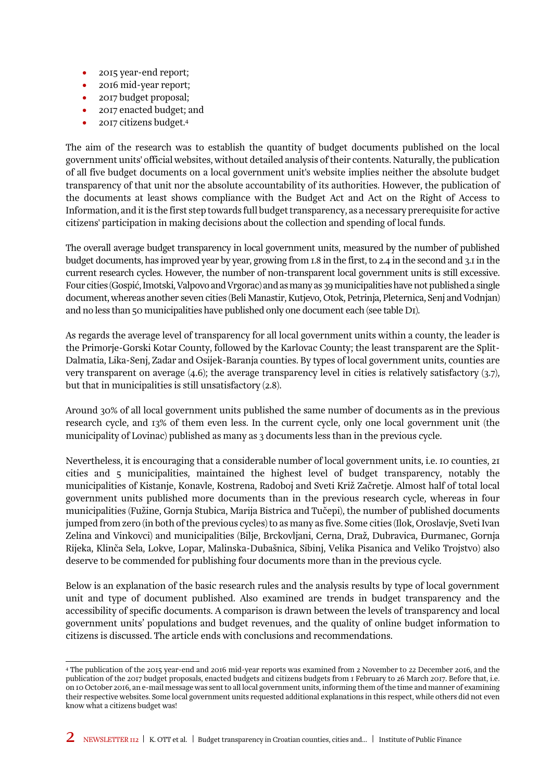- 2015 year-end report;
- 2016 mid-year report;
- 2017 budget proposal;
- 2017 enacted budget; and
- 2017 citizens budget.4

The aim of the research was to establish the quantity of budget documents published on the local government units' official websites, without detailed analysis of their contents. Naturally, the publication of all five budget documents on a local government unit's website implies neither the absolute budget transparency of that unit nor the absolute accountability of its authorities. However, the publication of the documents at least shows compliance with the Budget Act and Act on the Right of Access to Information, and it is the first step towards full budget transparency, as a necessary prerequisite for active citizens' participation in making decisions about the collection and spending of local funds.

The overall average budget transparency in local government units, measured by the number of published budget documents, has improved year by year, growing from 1.8 in the first, to 2.4 in the second and 3.1 in the current research cycles. However, the number of non-transparent local government units is still excessive. Four cities (Gospić, Imotski, Valpovo and Vrgorac) and as many as 39 municipalities have not published a single document, whereas another seven cities (Beli Manastir, Kutjevo, Otok, Petrinja, Pleternica, Senj and Vodnjan) and no less than 50 municipalities have published only one document each (see table D1).

As regards the average level of transparency for all local government units within a county, the leader is the Primorje-Gorski Kotar County, followed by the Karlovac County; the least transparent are the Split-Dalmatia, Lika-Senj, Zadar and Osijek-Baranja counties. By types of local government units, counties are very transparent on average (4.6); the average transparency level in cities is relatively satisfactory (3.7), but that in municipalities is still unsatisfactory (2.8).

Around 30% of all local government units published the same number of documents as in the previous research cycle, and 13% of them even less. In the current cycle, only one local government unit (the municipality of Lovinac) published as many as 3 documents less than in the previous cycle.

Nevertheless, it is encouraging that a considerable number of local government units, i.e. 10 counties, 21 cities and 5 municipalities, maintained the highest level of budget transparency, notably the municipalities of Kistanje, Konavle, Kostrena, Radoboj and Sveti Križ Začretje. Almost half of total local government units published more documents than in the previous research cycle, whereas in four municipalities (Fužine, Gornja Stubica, Marija Bistrica and Tučepi), the number of published documents jumped from zero (in both of the previous cycles) to as many as five. Some cities (Ilok, Oroslavje, Sveti Ivan Zelina and Vinkovci) and municipalities (Bilje, Brckovljani, Cerna, Draž, Dubravica, Đurmanec, Gornja Rijeka, Klinča Sela, Lokve, Lopar, Malinska-Dubašnica, Sibinj, Velika Pisanica and Veliko Trojstvo) also deserve to be commended for publishing four documents more than in the previous cycle.

Below is an explanation of the basic research rules and the analysis results by type of local government unit and type of document published. Also examined are trends in budget transparency and the accessibility of specific documents. A comparison is drawn between the levels of transparency and local government units' populations and budget revenues, and the quality of online budget information to citizens is discussed. The article ends with conclusions and recommendations.

 $\overline{a}$ 4 The publication of the 2015 year-end and 2016 mid-year reports was examined from 2 November to 22 December 2016, and the publication of the 2017 budget proposals, enacted budgets and citizens budgets from 1 February to 26 March 2017. Before that, i.e. on 10 October 2016, an e-mail message was sent to all local government units, informing them of the time and manner of examining their respective websites. Some local government units requested additional explanations in this respect, while others did not even know what a citizens budget was!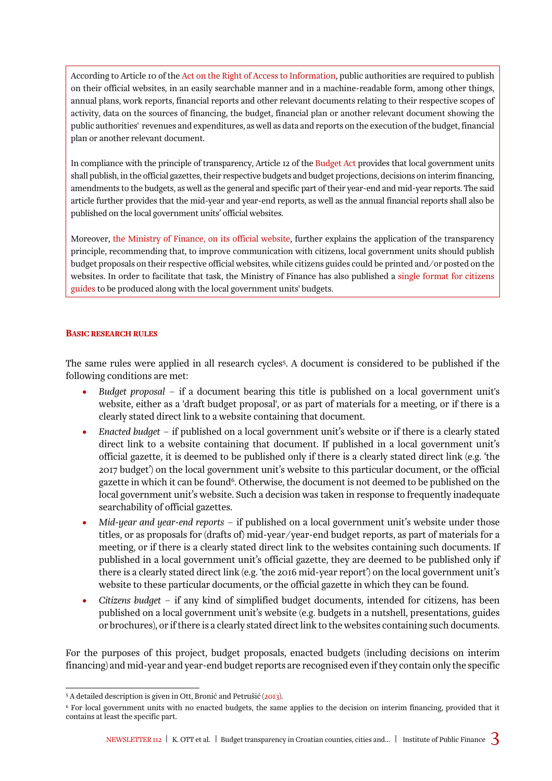on their official websites, in an easily searchable manner and in a machine-readable form, among other things,<br>annual plans, work reports, financial reports and other relevant documents relating to their respective scopes activity, data on the sources of financing, the budget, financial plan or another relevant document showing the<br>public authorities' revenues and expenditures, as well as data and reports on the execution of the budget, fin According to Article 10 of the [Act on the Right of Access to Information,](https://www.zakon.hr/z/126/Zakon-o-pravu-na-pristup-informacijama) public authorities are required to publish on their official websites, in an easily searchable manner and in a machine-readable form, among other things, activity, data on the sources of financing, the budget, financial plan or another relevant document showing the plan or another relevant document.

In compliance with the principle of transparency, Article 12 of the [Budget Act](http://www.mfin.hr/adminmax/docs/Budget Act - consolidated text.pdf) provides that local government units shall publish, in the official gazettes, their respective budgets and budget projections, decisions on interim financing, amendments to the budgets, as well as the general and specific part of their year-end and mid-year reports. The said article further provides that the mid-year and year-end reports, as well as the annual financial reports shall also be published on the local government units' official websites.

Moreover, [the Ministry of Finance, on its official website,](http://www.mfin.hr/adminmax/docs/Jedinstveni format vodica za gradjane uz proracune JLP(R)S.doc) further explains the application of the transparency principle, recommending that, to improve communication with citizens, local government units should publish budget proposals on their respective official websites, while citizens guides could be printed and/or posted on the websites. In order to facilitate that task, the Ministry of Finance has also published a [single format for citizens](http://www.mfin.hr/adminmax/docs/Jedinstveni format vodica za gradjane uz proracune JLP(R)S.doc)  [guides](http://www.mfin.hr/adminmax/docs/Jedinstveni format vodica za gradjane uz proracune JLP(R)S.doc) to be produced along with the local government units' budgets.

#### BASIC RESEARCH RULES

The same rules were applied in all research cycles5. A document is considered to be published if the following conditions are met:

- *Budget proposal* if a document bearing this title is published on a local government unit's website, either as a 'draft budget proposal', or as part of materials for a meeting, or if there is a clearly stated direct link to a website containing that document.
- *Enacted budget* if published on a local government unit's website or if there is a clearly stated direct link to a website containing that document. If published in a local government unit's official gazette, it is deemed to be published only if there is a clearly stated direct link (e.g. 'the 2017 budget') on the local government unit's website to this particular document, or the official gazette in which it can be found<sup>6</sup>. Otherwise, the document is not deemed to be published on the local government unit's website. Such a decision was taken in response to frequently inadequate searchability of official gazettes.
- *Mid-year and year-end reports* if published on a local government unit's website under those titles, or as proposals for (drafts of) mid-year/year-end budget reports, as part of materials for a meeting, or if there is a clearly stated direct link to the websites containing such documents. If published in a local government unit's official gazette, they are deemed to be published only if there is a clearly stated direct link (e.g. 'the 2016 mid-year report') on the local government unit's website to these particular documents, or the official gazette in which they can be found.
- *Citizens budget* if any kind of simplified budget documents, intended for citizens, has been published on a local government unit's website (e.g. budgets in a nutshell, presentations, guides or brochures), or if there is a clearly stated direct link to the websites containing such documents.

For the purposes of this project, budget proposals, enacted budgets (including decisions on interim financing) and mid-year and year-end budget reports are recognised even if they contain only the specific

 $\overline{a}$ <sup>5</sup> A detailed description is given in Ott, Bronić and Petrušić ([2013](http://www.ijf.hr/upload/files/file/ENG/newsletter/81.pdf)).

<sup>6</sup> For local government units with no enacted budgets, the same applies to the decision on interim financing, provided that it contains at least the specific part.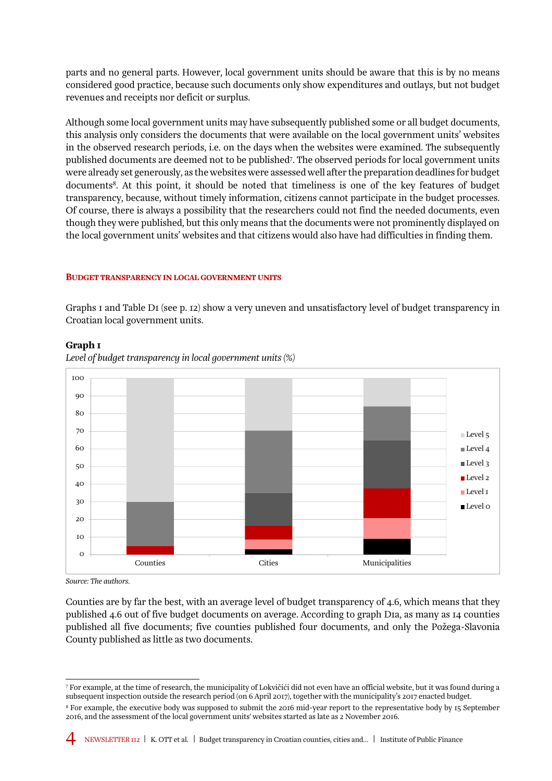parts and no general parts. However, local government units should be aware that this is by no means considered good practice, because such documents only show expenditures and outlays, but not budget revenues and receipts nor deficit or surplus.

Although some local government units may have subsequently published some or all budget documents, this analysis only considers the documents that were available on the local government units' websites in the observed research periods, i.e. on the days when the websites were examined. The subsequently published documents are deemed not to be published<sup>7</sup>. The observed periods for local government units were already set generously, as the websites were assessed well after the preparation deadlines for budget documents8. At this point, it should be noted that timeliness is one of the key features of budget transparency, because, without timely information, citizens cannot participate in the budget processes. Of course, there is always a possibility that the researchers could not find the needed documents, even though they were published, but this only means that the documents were not prominently displayed on the local government units' websites and that citizens would also have had difficulties in finding them.

#### BUDGET TRANSPARENCY IN LOCAL GOVERNMENT UNITS

Graphs 1 and Table D1 (see p. 12) show a very uneven and unsatisfactory level of budget transparency in Croatian local government units.



#### Graph 1

*Level of budget transparency in local government units (%)* 

*Source: The authors.* 

Counties are by far the best, with an average level of budget transparency of 4.6, which means that they published 4.6 out of five budget documents on average. According to graph D1a, as many as 14 counties published all five documents; five counties published four documents, and only the Požega-Slavonia County published as little as two documents.

 $\overline{a}$ 7 For example, at the time of research, the municipality of Lokvičići did not even have an official website, but it was found during a subsequent inspection outside the research period (on 6 April 2017), together with the municipality's 2017 enacted budget.

<sup>8</sup> For example, the executive body was supposed to submit the 2016 mid-year report to the representative body by 15 September 2016, and the assessment of the local government units' websites started as late as 2 November 2016.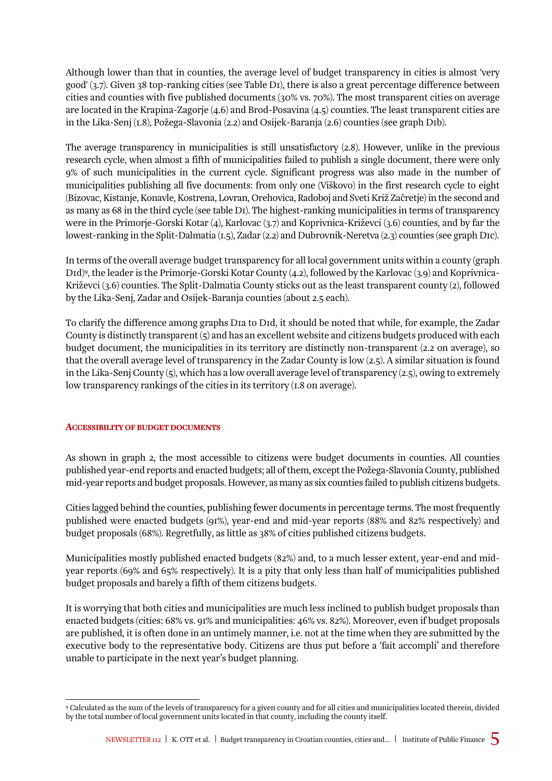good' (3.7). Given 38 top-ranking cities (see Table D1), there is also a great percentage difference between<br>cities and counties with five published documents (30% vs. 70%). The most transparent cities on average are located in the Krapina-Zagorje (4.6) and Brod-Posavina (4.5) counties. The least transpare<br>in the Lika-Senj (1.8), Požega-Slavonia (2.2) and Osijek-Baranja (2.6) counties (see graph D1b). Although lower than that in counties, the average level of budget transparency in cities is almost 'very good' (3.7). Given 38 top-ranking cities (see Table D1), there is also a great percentage difference between are located in the Krapina-Zagorje (4.6) and Brod-Posavina (4.5) counties. The least transparent cities are

The average transparency in municipalities is still unsatisfactory (2.8). However, unlike in the previous research cycle, when almost a fifth of municipalities failed to publish a single document, there were only 9% of such municipalities in the current cycle. Significant progress was also made in the number of municipalities publishing all five documents: from only one (Viškovo) in the first research cycle to eight (Bizovac, Kistanje, Konavle, Kostrena, Lovran, Orehovica, Radoboj and Sveti Križ Začretje) in the second and as many as 68 in the third cycle (see table D1). The highest-ranking municipalities in terms of transparency were in the Primorje-Gorski Kotar (4), Karlovac (3.7) and Koprivnica-Križevci (3.6) counties, and by far the lowest-ranking in the Split-Dalmatia (1.5), Zadar (2.2) and Dubrovnik-Neretva (2.3) counties (see graph D1c).

In terms of the overall average budget transparency for all local government units within a county (graph D1d)9, the leader is the Primorje-Gorski Kotar County (4.2), followed by the Karlovac (3.9) and Koprivnica-Križevci (3.6) counties. The Split-Dalmatia County sticks out as the least transparent county (2), followed by the Lika-Senj, Zadar and Osijek-Baranja counties (about 2.5 each).

To clarify the difference among graphs D1a to D1d, it should be noted that while, for example, the Zadar County is distinctly transparent (5) and has an excellent website and citizens budgets produced with each budget document, the municipalities in its territory are distinctly non-transparent (2.2 on average), so that the overall average level of transparency in the Zadar County is low (2.5). A similar situation is found in the Lika-Senj County (5), which has a low overall average level of transparency (2.5), owing to extremely low transparency rankings of the cities in its territory (1.8 on average).

#### ACCESSIBILITY OF BUDGET DOCUMENTS

As shown in graph 2, the most accessible to citizens were budget documents in counties. All counties published year-end reports and enacted budgets; all of them, except the Požega-Slavonia County, published mid-year reports and budget proposals. However, as many as six counties failed to publish citizens budgets.

Cities lagged behind the counties, publishing fewer documents in percentage terms. The most frequently published were enacted budgets (91%), year-end and mid-year reports (88% and 82% respectively) and budget proposals (68%). Regretfully, as little as 38% of cities published citizens budgets.

Municipalities mostly published enacted budgets (82%) and, to a much lesser extent, year-end and midyear reports (69% and 65% respectively). It is a pity that only less than half of municipalities published budget proposals and barely a fifth of them citizens budgets.

It is worrying that both cities and municipalities are much less inclined to publish budget proposals than enacted budgets (cities: 68% vs. 91% and municipalities: 46% vs. 82%). Moreover, even if budget proposals are published, it is often done in an untimely manner, i.e. not at the time when they are submitted by the executive body to the representative body. Citizens are thus put before a 'fait accompli' and therefore unable to participate in the next year's budget planning.

 $\overline{a}$ 9 Calculated as the sum of the levels of transparency for a given county and for all cities and municipalities located therein, divided by the total number of local government units located in that county, including the county itself.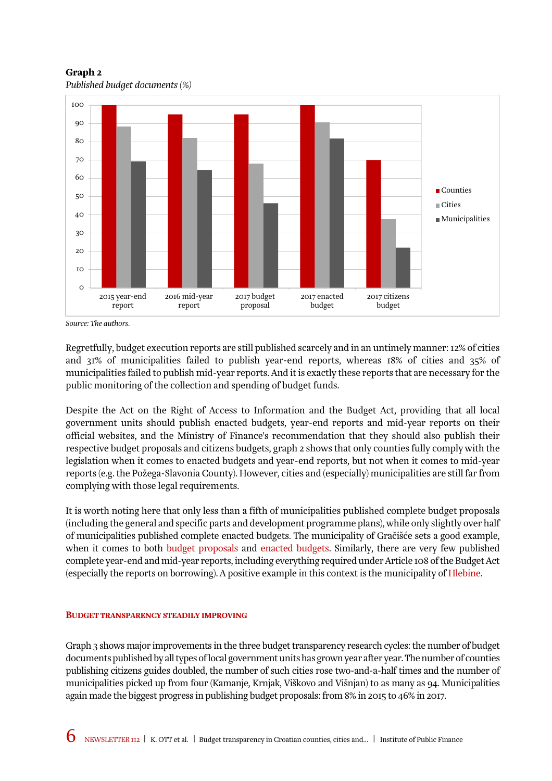Graph 2 *Published budget documents (%)* 



*Source: The authors.* 

Regretfully, budget execution reports are still published scarcely and in an untimely manner: 12% of cities and 31% of municipalities failed to publish year-end reports, whereas 18% of cities and 35% of municipalities failed to publish mid-year reports. And it is exactly these reports that are necessary for the public monitoring of the collection and spending of budget funds.

Despite the Act on the Right of Access to Information and the Budget Act, providing that all local government units should publish enacted budgets, year-end reports and mid-year reports on their official websites, and the Ministry of Finance's recommendation that they should also publish their respective budget proposals and citizens budgets, graph 2 shows that only counties fully comply with the legislation when it comes to enacted budgets and year-end reports, but not when it comes to mid-year reports (e.g. the Požega-Slavonia County). However, cities and (especially) municipalities are still far from complying with those legal requirements.

It is worth noting here that only less than a fifth of municipalities published complete budget proposals (including the general and specific parts and development programme plans), while only slightly over half of municipalities published complete enacted budgets. The municipality of Gračišće sets a good example, when it comes to both [budget proposals](http://www.gracisce.hr/images/stories/Prijedlog_za_donoenje__Prorauna_za_2017_godinu_i_projekcija_za_2018_i_2019_godinu.pdf) and [enacted budgets](http://www.gracisce.hr/images/stories/Proraun_za_2017_godinu_i_projekcija_za_2018_i_2019_godinu.pdf). Similarly, there are very few published complete year-end and mid-year reports, including everything required under Article 108 of the Budget Act (especially the reports on borrowing). A positive example in this context is the municipality of [Hlebine](http://www.hlebine.hr/index.php/opcina-hlebine/financijski-izvjestaji#2015-godina).

#### BUDGET TRANSPARENCY STEADILY IMPROVING

Graph 3 shows major improvements in the three budget transparency research cycles: the number of budget documents published by all types of local government units has grown year after year. The number of counties publishing citizens guides doubled, the number of such cities rose two-and-a-half times and the number of municipalities picked up from four (Kamanje, Krnjak, Viškovo and Višnjan) to as many as 94. Municipalities again made the biggest progress in publishing budget proposals: from 8% in 2015 to 46% in 2017.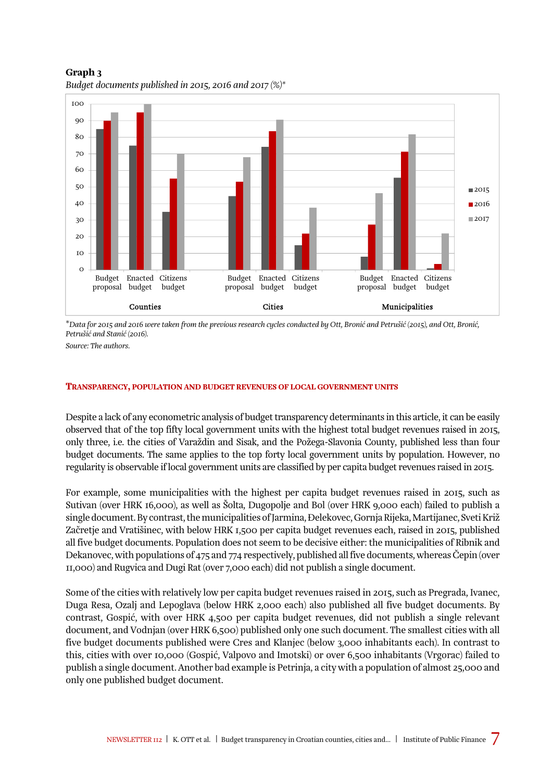Graph 3 *Budget documents published in 2015, 2016 and 2017 (%)\** 



\**Data for 2015 and 2016 were taken from the previous research cycles conducted by Ott, Bronić and Petrušić (2015), and Ott, Bronić, Petrušić and Stanić (2016).* 

*Source: The authors.* 

#### TRANSPARENCY, POPULATION AND BUDGET REVENUES OF LOCAL GOVERNMENT UNITS

Despite a lack of any econometric analysis of budget transparency determinants in this article, it can be easily observed that of the top fifty local government units with the highest total budget revenues raised in 2015, only three, i.e. the cities of Varaždin and Sisak, and the Požega-Slavonia County, published less than four budget documents. The same applies to the top forty local government units by population. However, no regularity is observable if local government units are classified by per capita budget revenues raised in 2015.

For example, some municipalities with the highest per capita budget revenues raised in 2015, such as Sutivan (over HRK 16,000), as well as Šolta, Dugopolje and Bol (over HRK 9,000 each) failed to publish a single document. By contrast, the municipalities of Jarmina, Đelekovec, Gornja Rijeka, Martijanec, Sveti Križ Začretje and Vratišinec, with below HRK 1,500 per capita budget revenues each, raised in 2015, published all five budget documents. Population does not seem to be decisive either: the municipalities of Ribnik and Dekanovec, with populations of 475 and 774 respectively, published all five documents, whereas Čepin (over 11,000) and Rugvica and Dugi Rat (over 7,000 each) did not publish a single document.

Some of the cities with relatively low per capita budget revenues raised in 2015, such as Pregrada, Ivanec, Duga Resa, Ozalj and Lepoglava (below HRK 2,000 each) also published all five budget documents. By contrast, Gospić, with over HRK 4,500 per capita budget revenues, did not publish a single relevant document, and Vodnjan (over HRK 6,500) published only one such document. The smallest cities with all five budget documents published were Cres and Klanjec (below 3,000 inhabitants each). In contrast to this, cities with over 10,000 (Gospić, Valpovo and Imotski) or over 6,500 inhabitants (Vrgorac) failed to publish a single document. Another bad example is Petrinja, a city with a population of almost 25,000 and only one published budget document.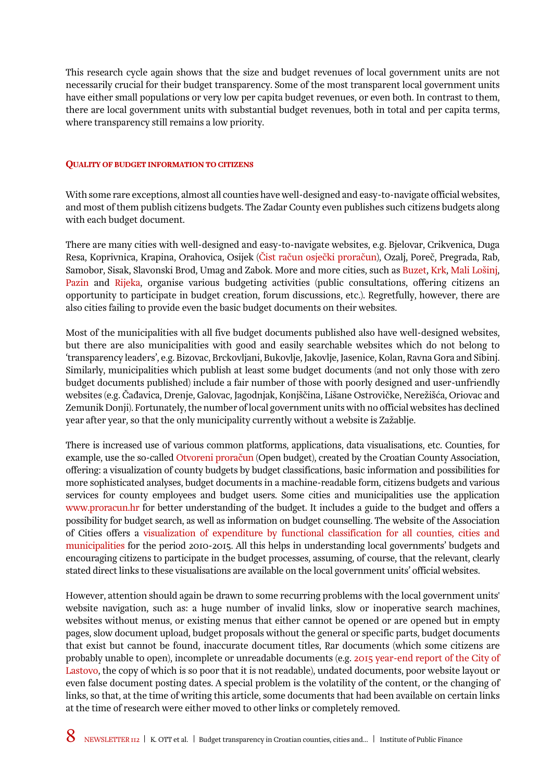This research cycle again shows that the size and budget revenues of local government units are not necessarily crucial for their budget transparency. Some of the most transparent local government units have either small populations or very low per capita budget revenues, or even both. In contrast to them, there are local government units with substantial budget revenues, both in total and per capita terms, where transparency still remains a low priority.

#### QUALITY OF BUDGET INFORMATION TO CITIZENS

With some rare exceptions, almost all counties have well-designed and easy-to-navigate official websites, and most of them publish citizens budgets. The Zadar County even publishes such citizens budgets along with each budget document.

There are many cities with well-designed and easy-to-navigate websites, e.g. Bjelovar, Crikvenica, Duga Resa, Koprivnica, Krapina, Orahovica, Osijek [\(Čist račun osječki proračun](https://cistracun.net/2017/05/15/casopis-cist-racun-osjecki-proracun-svibanj-2017/)), Ozalj, Poreč, Pregrada, Rab, Samobor, Sisak, Slavonski Brod, Umag and Zabok. More and more cities, such as [Buzet](http://ebuzet.com/proracun2016/), [Krk](http://www.grad-krk.hr/g/Jedinstveni-upravni-odjel/Savjetovanje-sa-zainteresiranom-javnoscu/Otvorena-savjetovanja-sa-zainteresiranom-javnoscu/Poziv-za-savjetovanje-Prijedlog-Proracuna-Grada-Kr.aspx), [Mali Lošinj](http://www.mali-losinj.hr/24/08/2016/gradska-uprava-grada-malog-losinja-ovim-putem-poziva-gradane-da-sudjeluju-u-kreiranju-proracuna-za-2017-godinu/), [Pazin](http://proracun.pazin.hr/) and [Rijeka](https://www.rijeka.hr/teme-za-gradane/aktivno-gradanstvo/participativno-budzetiranje-ukljucivanje-gradana-odlucivanje-proracunu/), organise various budgeting activities (public consultations, offering citizens an opportunity to participate in budget creation, forum discussions, etc.). Regretfully, however, there are also cities failing to provide even the basic budget documents on their websites.

Most of the municipalities with all five budget documents published also have well-designed websites, but there are also municipalities with good and easily searchable websites which do not belong to 'transparency leaders', e.g. Bizovac, Brckovljani, Bukovlje, Jakovlje, Jasenice, Kolan, Ravna Gora and Sibinj. Similarly, municipalities which publish at least some budget documents (and not only those with zero budget documents published) include a fair number of those with poorly designed and user-unfriendly websites (e.g. Čađavica, Drenje, Galovac, Jagodnjak, Konjščina, Lišane Ostrovičke, Nerežišća, Oriovac and Zemunik Donji). Fortunately, the number of local government units with no official websites has declined year after year, so that the only municipality currently without a website is Zažablje.

There is increased use of various common platforms, applications, data visualisations, etc. Counties, for example, use the so-called [Otvoreni proračun](http://hrvzz.hr/otvoreni_proracun/) (Open budget), created by the Croatian County Association, offering: a visualization of county budgets by budget classifications, basic information and possibilities for more sophisticated analyses, budget documents in a machine-readable form, citizens budgets and various services for county employees and budget users. Some cities and municipalities use the application [www.proracun.hr](http://www.proracun.hr/) for better understanding of the budget. It includes a guide to the budget and offers a possibility for budget search, as well as information on budget counselling. The website of the Association of Cities offers a [visualization of expenditure by functional classification for all counties, cities and](http://www.udruga-gradova.hr/proracun-opca/)  [municipalities](http://www.udruga-gradova.hr/proracun-opca/) for the period 2010-2015. All this helps in understanding local governments' budgets and encouraging citizens to participate in the budget processes, assuming, of course, that the relevant, clearly stated direct links to these visualisations are available on the local government units' official websites.

However, attention should again be drawn to some recurring problems with the local government units' website navigation, such as: a huge number of invalid links, slow or inoperative search machines, websites without menus, or existing menus that either cannot be opened or are opened but in empty pages, slow document upload, budget proposals without the general or specific parts, budget documents that exist but cannot be found, inaccurate document titles, Rar documents (which some citizens are probably unable to open), incomplete or unreadable documents (e.g. [2015 year-end report of the City of](https://lastovo.hr/wp-content/uploads/2016/07/SLU%C5%BDBENI-GLASNIK-02-16-1.pdf)  [Lastovo,](https://lastovo.hr/wp-content/uploads/2016/07/SLU%C5%BDBENI-GLASNIK-02-16-1.pdf) the copy of which is so poor that it is not readable), undated documents, poor website layout or even false document posting dates. A special problem is the volatility of the content, or the changing of links, so that, at the time of writing this article, some documents that had been available on certain links at the time of research were either moved to other links or completely removed.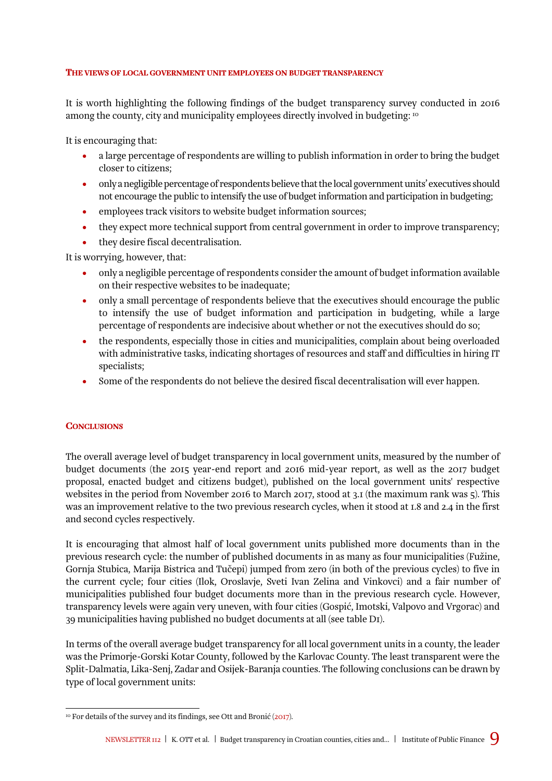#### THE VIEWS OF LOCAL GOVERNMENT UNIT EMPLOYEES ON BUDGET TRANSPARENCY

It is worth highlighting the following findings of the budget transparency survey conducted in 2016<br>It is worth highlighting the following findings of the budget transparency survey conducted in 2016 among the county, city and municipality employees directly involved in budgeting:  $^{10}$ 

It is encouraging that:

- a large percentage of respondents are willing to publish information in order to bring the budget closer to citizens;
- only a negligible percentage of respondents believe that the local government units' executives should not encourage the public to intensify the use of budget information and participation in budgeting;
- employees track visitors to website budget information sources;
- they expect more technical support from central government in order to improve transparency;
- they desire fiscal decentralisation.

It is worrying, however, that:

- only a negligible percentage of respondents consider the amount of budget information available on their respective websites to be inadequate;
- only a small percentage of respondents believe that the executives should encourage the public to intensify the use of budget information and participation in budgeting, while a large percentage of respondents are indecisive about whether or not the executives should do so;
- the respondents, especially those in cities and municipalities, complain about being overloaded with administrative tasks, indicating shortages of resources and staff and difficulties in hiring IT specialists;
- Some of the respondents do not believe the desired fiscal decentralisation will ever happen.

#### **CONCLUSIONS**

The overall average level of budget transparency in local government units, measured by the number of budget documents (the 2015 year-end report and 2016 mid-year report, as well as the 2017 budget proposal, enacted budget and citizens budget), published on the local government units' respective websites in the period from November 2016 to March 2017, stood at 3.1 (the maximum rank was 5). This was an improvement relative to the two previous research cycles, when it stood at 1.8 and 2.4 in the first and second cycles respectively.

It is encouraging that almost half of local government units published more documents than in the previous research cycle: the number of published documents in as many as four municipalities (Fužine, Gornja Stubica, Marija Bistrica and Tučepi) jumped from zero (in both of the previous cycles) to five in the current cycle; four cities (Ilok, Oroslavje, Sveti Ivan Zelina and Vinkovci) and a fair number of municipalities published four budget documents more than in the previous research cycle. However, transparency levels were again very uneven, with four cities (Gospić, Imotski, Valpovo and Vrgorac) and 39 municipalities having published no budget documents at all (see table D1).

In terms of the overall average budget transparency for all local government units in a county, the leader was the Primorje-Gorski Kotar County, followed by the Karlovac County. The least transparent were the Split-Dalmatia, Lika-Senj, Zadar and Osijek-Baranja counties. The following conclusions can be drawn by type of local government units:

 $\overline{a}$  $\scriptstyle\rm ^{10}$  For details of the survey and its findings, see Ott and Bronić ([2017](http://www.ijf.hr/upload/files/file/ENG/newsletter/111.pdf)).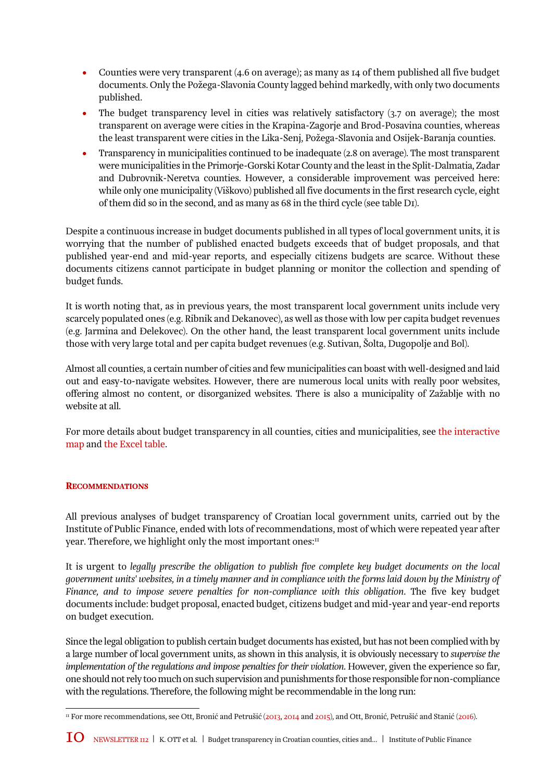- Counties were very transparent (4.6 on average); as many as 14 of them published all five budget documents. Only the Požega-Slavonia County lagged behind markedly, with only two documents published.
- The budget transparency level in cities was relatively satisfactory (3.7 on average); the most transparent on average were cities in the Krapina-Zagorje and Brod-Posavina counties, whereas the least transparent were cities in the Lika-Senj, Požega-Slavonia and Osijek-Baranja counties.
- Transparency in municipalities continued to be inadequate (2.8 on average). The most transparent were municipalities in the Primorje-Gorski Kotar County and the least in the Split-Dalmatia, Zadar and Dubrovnik-Neretva counties. However, a considerable improvement was perceived here: while only one municipality (Viškovo) published all five documents in the first research cycle, eight of them did so in the second, and as many as 68 in the third cycle (see table D1).

Despite a continuous increase in budget documents published in all types of local government units, it is worrying that the number of published enacted budgets exceeds that of budget proposals, and that published year-end and mid-year reports, and especially citizens budgets are scarce. Without these documents citizens cannot participate in budget planning or monitor the collection and spending of budget funds.

It is worth noting that, as in previous years, the most transparent local government units include very scarcely populated ones (e.g. Ribnik and Dekanovec), as well as those with low per capita budget revenues (e.g. Jarmina and Đelekovec). On the other hand, the least transparent local government units include those with very large total and per capita budget revenues (e.g. Sutivan, Šolta, Dugopolje and Bol).

Almost all counties, a certain number of cities and few municipalities can boast with well-designed and laid out and easy-to-navigate websites. However, there are numerous local units with really poor websites, offering almost no content, or disorganized websites. There is also a municipality of Zažablje with no website at all.

For more details about budget transparency in all counties, cities and municipalities, see [the interactive](http://www.ijf.hr/transparency)  [map](http://www.ijf.hr/transparency) and [the Excel table.](http://www.ijf.hr/download_file.php?file=nle-112.xlsx) 

#### **RECOMMENDATIONS**

All previous analyses of budget transparency of Croatian local government units, carried out by the Institute of Public Finance, ended with lots of recommendations, most of which were repeated year after year. Therefore, we highlight only the most important ones:<sup>11</sup>

It is urgent to *legally prescribe the obligation to publish five complete key budget documents on the local government units' websites, in a timely manner and in compliance with the forms laid down by the Ministry of Finance, and to impose severe penalties for non-compliance with this obligation*. The five key budget documents include: budget proposal, enacted budget, citizens budget and mid-year and year-end reports on budget execution.

Since the legal obligation to publish certain budget documents has existed, but has not been complied with by a large number of local government units, as shown in this analysis, it is obviously necessary to *supervise the implementation of the regulations and impose penalties for their violation*. However, given the experience so far, one should not rely too much on such supervision and punishments for those responsible for non-compliance with the regulations. Therefore, the following might be recommendable in the long run:

 $\overline{a}$ 11 For more recommendations, see Ott, Bronić and Petrušić ([2013,](http://www.ijf.hr/upload/files/file/ENG/newsletter/81.pdf) [2014](http://www.ijf.hr/upload/files/file/ENG/newsletter/87.pdf) and [2015](http://www.ijf.hr/upload/files/file/ENG/newsletter/97.pdf)), and Ott, Bronić, Petrušić and Stanić ([2016](http://www.ijf.hr/upload/files/file/ENG/newsletter/107.pdf)).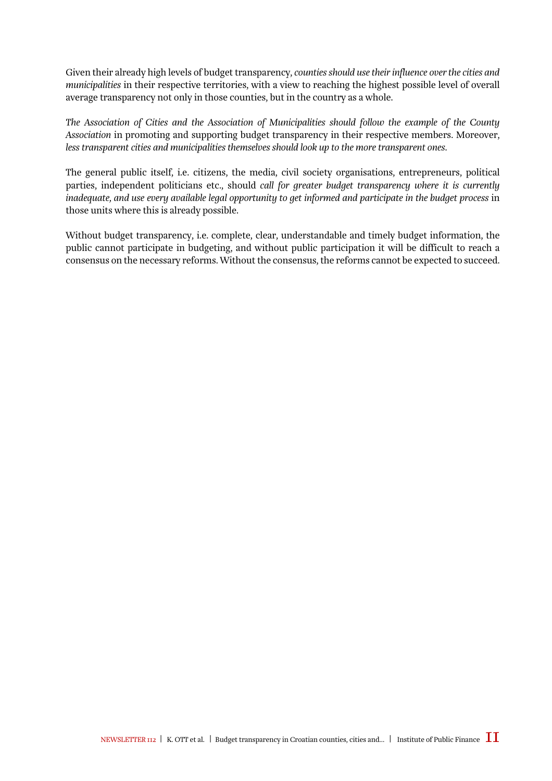*municipalities* in their respective territories, with a view to reaching the highest possible level of overall<br>average transparency not only in those counties, but in the country as a whole. Given their already high levels of budget transparency, *counties should use their influence over the cities and*  average transparency not only in those counties, but in the country as a whole.

R *The Association of Cities and the Association of Municipalities should follow the example of the County Association* in promoting and supporting budget transparency in their respective members. Moreover, *less transparent cities and municipalities themselves should look up to the more transparent ones*.

The general public itself, i.e. citizens, the media, civil society organisations, entrepreneurs, political parties, independent politicians etc., should *call for greater budget transparency where it is currently inadequate, and use every available legal opportunity to get informed and participate in the budget process* in those units where this is already possible.

Without budget transparency, i.e. complete, clear, understandable and timely budget information, the public cannot participate in budgeting, and without public participation it will be difficult to reach a consensus on the necessary reforms. Without the consensus, the reforms cannot be expected to succeed.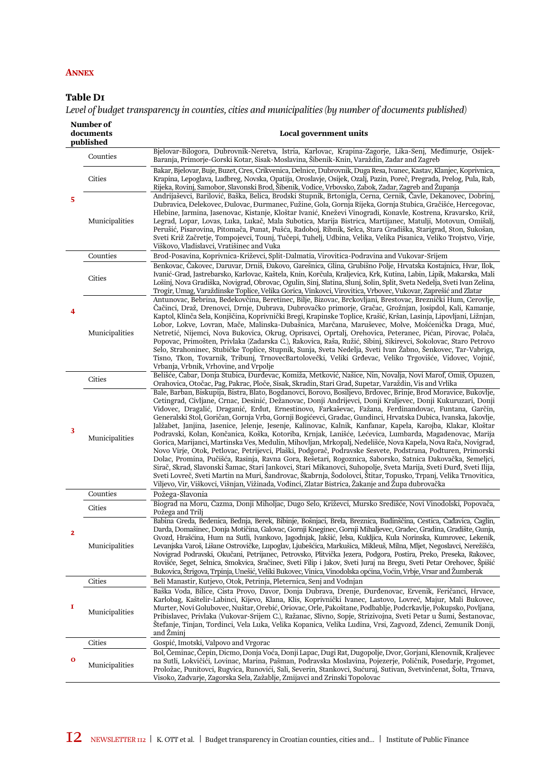#### **ANNEX**

#### Table D1

*Level of budget transparency in counties, cities and municipalities (by number of documents published)* 

| documents      | Local government units                                                                                                                                                                                                                                                                                                                                                                                                                                                                                                                                                                                                                                                                                                                                                                                                                                                                                                                                                                                                                                                                                                                                                                                                                                                                                                                                                     |
|----------------|----------------------------------------------------------------------------------------------------------------------------------------------------------------------------------------------------------------------------------------------------------------------------------------------------------------------------------------------------------------------------------------------------------------------------------------------------------------------------------------------------------------------------------------------------------------------------------------------------------------------------------------------------------------------------------------------------------------------------------------------------------------------------------------------------------------------------------------------------------------------------------------------------------------------------------------------------------------------------------------------------------------------------------------------------------------------------------------------------------------------------------------------------------------------------------------------------------------------------------------------------------------------------------------------------------------------------------------------------------------------------|
| Counties       | Bjelovar-Bilogora, Dubrovnik-Neretva, Istria, Karlovac, Krapina-Zagorje, Lika-Senj, Međimurje, Osijek-<br>Baranja, Primorje-Gorski Kotar, Sisak-Moslavina, Šibenik-Knin, Varaždin, Zadar and Zagreb                                                                                                                                                                                                                                                                                                                                                                                                                                                                                                                                                                                                                                                                                                                                                                                                                                                                                                                                                                                                                                                                                                                                                                        |
| Cities         | Bakar, Bjelovar, Buje, Buzet, Cres, Crikvenica, Delnice, Dubrovnik, Duga Resa, Ivanec, Kastav, Klanjec, Koprivnica,<br>Krapina, Lepoglava, Ludbreg, Novska, Opatija, Oroslavje, Osijek, Ozalj, Pazin, Poreč, Pregrada, Prelog, Pula, Rab,<br>Rijeka, Rovinj, Samobor, Slavonski Brod, Šibenik, Vodice, Vrbovsko, Zabok, Zadar, Zagreb and Županja                                                                                                                                                                                                                                                                                                                                                                                                                                                                                                                                                                                                                                                                                                                                                                                                                                                                                                                                                                                                                          |
| Municipalities | Andrijaševci, Barilović, Baška, Belica, Brodski Stupnik, Brtonigla, Cerna, Cernik, Čavle, Dekanovec, Dobrinj,<br>Dubravica, Đelekovec, Đulovac, Đurmanec, Fužine, Gola, Gornja Rijeka, Gornja Stubica, Gračišće, Hercegovac,<br>Hlebine, Jarmina, Jasenovac, Kistanje, Kloštar Ivanić, Kneževi Vinogradi, Konavle, Kostrena, Kravarsko, Križ,<br>Legrad, Lopar, Lovas, Luka, Lukač, Mala Subotica, Marija Bistrica, Martijanec, Matulji, Motovun, Omišalj,<br>Perušić, Pisarovina, Pitomača, Punat, Pušća, Radoboj, Ribnik, Selca, Stara Gradiška, Starigrad, Ston, Sukošan,<br>Sveti Križ Začretje, Tompojevci, Tounj, Tučepi, Tuhelj, Udbina, Velika, Velika Pisanica, Veliko Trojstvo, Virje,<br>Viškovo, Vladislavci, Vratišinec and Vuka                                                                                                                                                                                                                                                                                                                                                                                                                                                                                                                                                                                                                              |
| Counties       | Brod-Posavina, Koprivnica-Križevci, Split-Dalmatia, Virovitica-Podravina and Vukovar-Srijem                                                                                                                                                                                                                                                                                                                                                                                                                                                                                                                                                                                                                                                                                                                                                                                                                                                                                                                                                                                                                                                                                                                                                                                                                                                                                |
| Cities         | Benkovac, Čakovec, Daruvar, Drniš, Đakovo, Garešnica, Glina, Grubišno Polje, Hrvatska Kostajnica, Hvar, Ilok,<br>Ivanić-Grad, Jastrebarsko, Karlovac, Kaštela, Knin, Korčula, Kraljevica, Krk, Kutina, Labin, Lipik, Makarska, Mali<br>Lošinj, Nova Gradiška, Novigrad, Obrovac, Ogulin, Sinj, Slatina, Slunj, Solin, Split, Sveta Nedelja, Sveti Ivan Zelina,<br>Trogir, Umag, Varaždinske Toplice, Velika Gorica, Vinkovci, Virovitica, Vrbovec, Vukovar, Zaprešić and Zlatar                                                                                                                                                                                                                                                                                                                                                                                                                                                                                                                                                                                                                                                                                                                                                                                                                                                                                            |
| Municipalities | Antunovac, Bebrina, Bedekovčina, Beretinec, Bilje, Bizovac, Brckovljani, Brestovac, Breznički Hum, Cerovlje,<br>Čačinci, Draž, Drenovci, Drnje, Dubrava, Dubrovačko primorje, Gračac, Grožnjan, Josipdol, Kali, Kamanje,<br>Kaptol, Klinča Sela, Konjščina, Koprivnički Bregi, Krapinske Toplice, Krašić, Kršan, Lasinja, Lipovljani, Ližnjan,<br>Lobor, Lokve, Lovran, Mače, Malinska-Dubašnica, Marčana, Maruševec, Molve, Mošćenička Draga, Muć,<br>Netretić, Nijemci, Nova Bukovica, Okrug, Oprisavci, Oprtalj, Orehovica, Peteranec, Pićan, Pirovac, Polača,<br>Popovac, Primošten, Privlaka (Zadarska C.), Rakovica, Raša, Ružić, Sibinj, Sikirevci, Sokolovac, Staro Petrovo<br>Selo, Strahoninec, Stubičke Toplice, Stupnik, Sunja, Sveta Nedelja, Sveti Ivan Žabno, Šenkovec, Tar-Vabriga,<br>Tisno, Tkon, Tovarnik, Tribunj, TrnovecBartolovečki, Veliki Grđevac, Veliko Trgovišće, Vidovec, Vojnić,<br>Vrbanja, Vrbnik, Vrhovine, and Vrpolje                                                                                                                                                                                                                                                                                                                                                                                                                   |
| Cities         | Belišće, Čabar, Donja Stubica, Đurđevac, Komiža, Metković, Našice, Nin, Novalja, Novi Marof, Omiš, Opuzen,<br>Orahovica, Otočac, Pag, Pakrac, Ploče, Sisak, Skradin, Stari Grad, Supetar, Varaždin, Vis and Vrlika                                                                                                                                                                                                                                                                                                                                                                                                                                                                                                                                                                                                                                                                                                                                                                                                                                                                                                                                                                                                                                                                                                                                                         |
| Municipalities | Bale, Barban, Biskupija, Bistra, Blato, Bogdanovci, Borovo, Bosiljevo, Brdovec, Brinje, Brod Moravice, Bukovlje,<br>Cetingrad, Civljane, Crnac, Desinić, Dežanovac, Donji Andrijevci, Donji Kraljevec, Donji Kukuruzari, Donji<br>Vidovec, Dragalić, Draganić, Erdut, Ernestinovo, Farkaševac, Fažana, Ferdinandovac, Funtana, Garčin,<br>Generalski Stol, Goričan, Gornja Vrba, Gornji Bogićevci, Gradac, Gundinci, Hrvatska Dubica, Ivanska, Jakovlje,<br>Jalžabet, Janjina, Jasenice, Jelenje, Jesenje, Kalinovac, Kalnik, Kanfanar, Kapela, Karojba, Klakar, Kloštar<br>Podravski, Kolan, Končanica, Koška, Kotoriba, Krnjak, Lanišće, Lećevica, Lumbarda, Magadenovac, Marija<br>Gorica, Marijanci, Martinska Ves, Medulin, Mihovljan, Mrkopalj, Nedelišće, Nova Kapela, Nova Rača, Novigrad,<br>Novo Virje, Otok, Petlovac, Petrijevci, Plaški, Podgorač, Podravske Sesvete, Podstrana, Podturen, Primorski<br>Dolac, Promina, Pučišća, Rasinja, Ravna Gora, Rešetari, Rogoznica, Saborsko, Satnica Đakovačka, Semeljci,<br>Sirač, Skrad, Slavonski Šamac, Stari Jankovci, Stari Mikanovci, Suhopolje, Sveta Marija, Sveti Đurđ, Sveti Ilija,<br>Sveti Lovreč, Sveti Martin na Muri, Šandrovac, Škabrnja, Šodolovci, Štitar, Topusko, Trpanj, Velika Trnovitica,<br>Viljevo, Vir, Viškovci, Višnjan, Vižinada, Vođinci, Zlatar Bistrica, Žakanje and Župa dubrovačka |
| Counties       | Požega-Slavonia                                                                                                                                                                                                                                                                                                                                                                                                                                                                                                                                                                                                                                                                                                                                                                                                                                                                                                                                                                                                                                                                                                                                                                                                                                                                                                                                                            |
| Cities         | Biograd na Moru, Čazma, Donji Miholjac, Dugo Selo, Križevci, Mursko Središće, Novi Vinodolski, Popovača,<br>Požega and Trilj                                                                                                                                                                                                                                                                                                                                                                                                                                                                                                                                                                                                                                                                                                                                                                                                                                                                                                                                                                                                                                                                                                                                                                                                                                               |
| Municipalities | Babina Greda, Bedenica, Bednja, Berek, Bibinje, Bošnjaci, Brela, Breznica, Budinščina, Cestica, Čađavica, Čaglin,<br>Darda, Domašinec, Donja Motičina, Galovac, Gornji Kneginec, Gornji Mihaljevec, Gradec, Gradina, Gradište, Gunja,<br>Gvozd, Hrašćina, Hum na Sutli, Ivankovo, Jagodnjak, Jakšić, Jelsa, Kukljica, Kula Norinska, Kumrovec, Lekenik,<br>Levanjska Varoš, Lišane Ostrovičke, Lupoglav, Ljubešćica, Markušica, Mikleuš, Milna, Mljet, Negoslavci, Nerežišća,<br>Novigrad Podravski, Okučani, Petrijanec, Petrovsko, Plitvička Jezera, Podgora, Postira, Preko, Preseka, Rakovec,<br>Rovišće, Seget, Selnica, Smokvica, Sračinec, Sveti Filip i Jakov, Sveti Juraj na Bregu, Sveti Petar Orehovec, Špišić<br>Bukovica, Štrigova, Trpinja, Unešić, Veliki Bukovec, Vinica, Vinodolska općina, Voćin, Vrbje, Vrsar and Žumberak                                                                                                                                                                                                                                                                                                                                                                                                                                                                                                                              |
| Cities         | Beli Manastir, Kutjevo, Otok, Petrinja, Pleternica, Senj and Vodnjan                                                                                                                                                                                                                                                                                                                                                                                                                                                                                                                                                                                                                                                                                                                                                                                                                                                                                                                                                                                                                                                                                                                                                                                                                                                                                                       |
| Municipalities | Baška Voda, Bilice, Cista Provo, Davor, Donja Dubrava, Drenje, Đurđenovac, Ervenik, Feričanci, Hrvace,<br>Karlobag, Kaštelir-Labinci, Kijevo, Klana, Klis, Koprivnički Ivanec, Lastovo, Lovreć, Majur, Mali Bukovec,<br>Murter, Novi Golubovec, Nuštar, Orebić, Oriovac, Orle, Pakoštane, Podbablje, Podcrkavlje, Pokupsko, Povljana,<br>Pribislavec, Privlaka (Vukovar-Srijem G.), Ražanac, Slivno, Sopje, Strizivojna, Sveti Petar u Šumi, Šestanovac,<br>Štefanje, Tinjan, Tordinci, Vela Luka, Velika Kopanica, Velika Ludina, Vrsi, Zagvozd, Zdenci, Zemunik Donji,<br>and Žminj                                                                                                                                                                                                                                                                                                                                                                                                                                                                                                                                                                                                                                                                                                                                                                                      |
| Cities         | Gospić, Imotski, Valpovo and Vrgorac                                                                                                                                                                                                                                                                                                                                                                                                                                                                                                                                                                                                                                                                                                                                                                                                                                                                                                                                                                                                                                                                                                                                                                                                                                                                                                                                       |
| Municipalities | Bol, Čeminac, Čepin, Dicmo, Donja Voća, Donji Lapac, Dugi Rat, Dugopolje, Dvor, Gorjani, Klenovnik, Kraljevec<br>na Sutli, Lokvičići, Lovinac, Marina, Pašman, Podravska Moslavina, Pojezerje, Poličnik, Posedarje, Prgomet,<br>Proložac, Punitovci, Rugvica, Runovići, Sali, Severin, Stankovci, Sućuraj, Sutivan, Svetvinčenat, Šolta, Trnava,<br>Visoko, Zadvarje, Zagorska Sela, Zažablje, Zmijavci and Zrinski Topolovac                                                                                                                                                                                                                                                                                                                                                                                                                                                                                                                                                                                                                                                                                                                                                                                                                                                                                                                                              |
|                | published                                                                                                                                                                                                                                                                                                                                                                                                                                                                                                                                                                                                                                                                                                                                                                                                                                                                                                                                                                                                                                                                                                                                                                                                                                                                                                                                                                  |